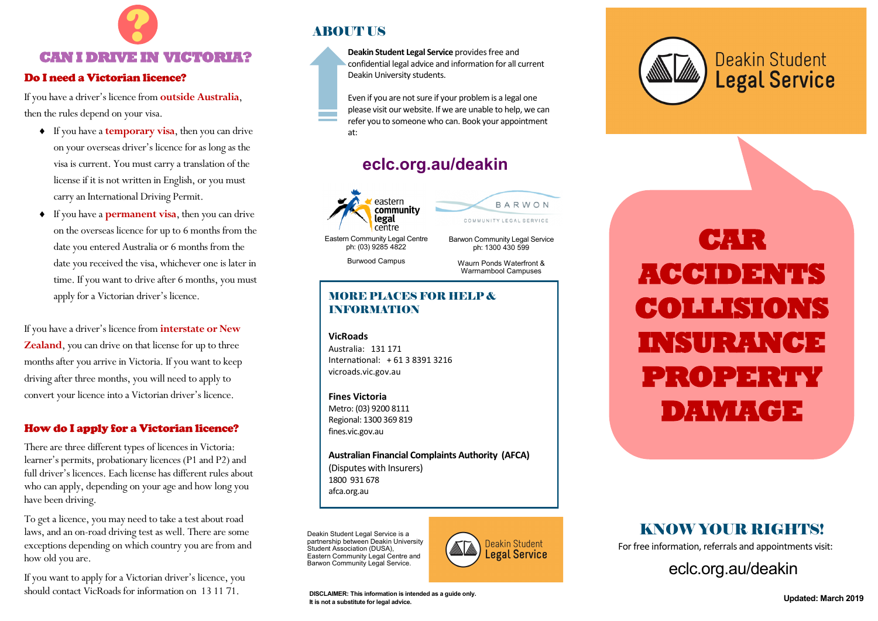

#### Do I need a Victorian licence?

If you have a driver's licence from **outside Australia**, then the rules depend on your visa.

- If you have a **temporary visa**, then you can drive on your overseas driver's licence for as long as the visa is current. You must carry a translation of the license if it is not written in English, or you must carry an International Driving Permit.
- If you have a **permanent visa**, then you can drive on the overseas licence for up to 6 months from the date you entered Australia or 6 months from the date you received the visa, whichever one is later in time. If you want to drive after 6 months, you must apply for a Victorian driver's licence.

If you have a driver's licence from **interstate or New Zealand**, you can drive on that license for up to three months after you arrive in Victoria. If you want to keep driving after three months, you will need to apply to convert your licence into a Victorian driver's licence.

#### How do I apply for a Victorian licence?

There are three different types of licences in Victoria: learner's permits, probationary licences (P1 and P2) and full driver's licences. Each license has different rules about who can apply, depending on your age and how long you have been driving.

To get a licence, you may need to take a test about road laws, and an on-road driving test as well. There are some exceptions depending on which country you are from and how old you are.

If you want to apply for a Victorian driver's licence, you should contact VicRoads for information on 13 11 71.

### **ABOUT US**



Even if you are not sure if your problem is a legal one please visit our website. If we are unable to help, we can refer you to someone who can. Book your appointment at:

## **<eclc.org.au/deakin>**



ph: (03) 9285 4822

Burwood Campus

ph: 1300 430 599 Waurn Ponds Waterfront & Warrnambool Campuses

Barwon Community Legal Service

COMMUNITY LEGAL SERVICE

BARWON

#### MORE PLACES FOR HELP & INFORMATION

**VicRoads** Australia: 131 171 International: + 61 3 8391 3216 <vicroads.vic.gov.au>

**Fines Victoria** Metro: (03) 9200 8111 Regional: 1300 369 819 [fines.vic.gov.au](http://online.fines.vic.gov.au/fines/)

**Australian Financial Complaints Authority (AFCA)** (Disputes with Insurers) 1800 931 678 afca.org.au

Deakin Student Legal Service is a partnership between Deakin University Student Association (DUSA). Eastern Community Legal Centre and Barwon Community Legal Service.



**Updated: March 2019 DISCLAIMER: This information is intended as a guide only. It is not a substitute for legal advice.**



**CAR LA ACCIDENTS COLLISIONS INSURANCE PROPERTY DAMAGE** 

## KNOW YOUR RIGHTS!

For free information, referrals and appointments visit:

<eclc.org.au/deakin>